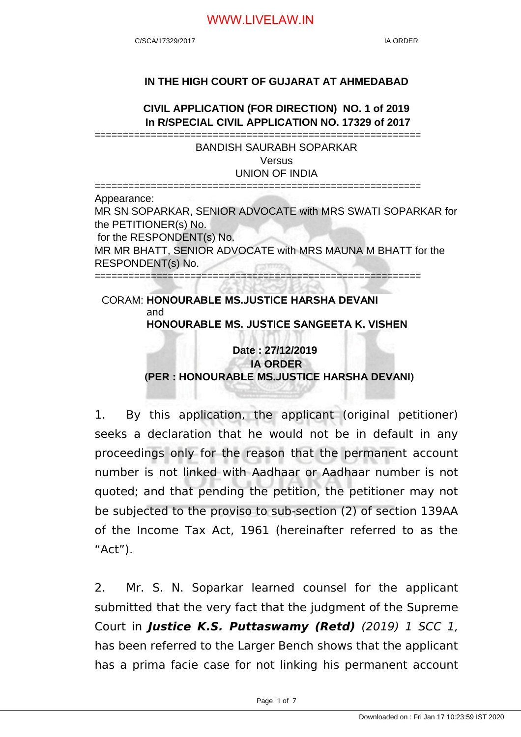#### **IN THE HIGH COURT OF GUJARAT AT AHMEDABAD**

**CIVIL APPLICATION (FOR DIRECTION) NO. 1 of 2019 In R/SPECIAL CIVIL APPLICATION NO. 17329 of 2017**

========================================================== BANDISH SAURABH SOPARKAR **Versus** UNION OF INDIA

========================================================== Appearance: MR SN SOPARKAR, SENIOR ADVOCATE with MRS SWATI SOPARKAR for the PETITIONER(s) No. for the RESPONDENT(s) No. MR MR BHATT, SENIOR ADVOCATE with MRS MAUNA M BHATT for the RESPONDENT(s) No. ==========================================================

#### CORAM: **HONOURABLE MS.JUSTICE HARSHA DEVANI** and **HONOURABLE MS. JUSTICE SANGEETA K. VISHEN**

# **Date : 27/12/2019 IA ORDER (PER : HONOURABLE MS.JUSTICE HARSHA DEVANI)**

1. By this application, the applicant (original petitioner) seeks a declaration that he would not be in default in any proceedings only for the reason that the permanent account number is not linked with Aadhaar or Aadhaar number is not quoted; and that pending the petition, the petitioner may not be subjected to the proviso to sub-section (2) of section 139AA of the Income Tax Act, 1961 (hereinafter referred to as the "Act").

2. Mr. S. N. Soparkar learned counsel for the applicant submitted that the very fact that the judgment of the Supreme Court in **Justice K.S. Puttaswamy (Retd)** (2019) 1 SCC 1, has been referred to the Larger Bench shows that the applicant has a prima facie case for not linking his permanent account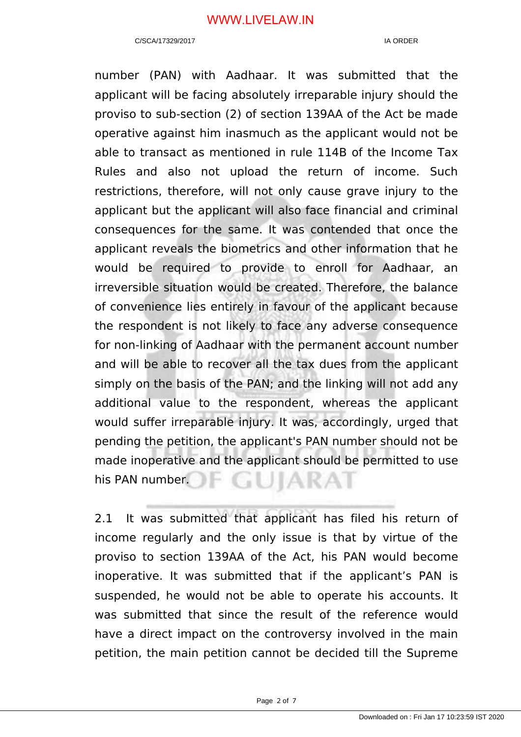number (PAN) with Aadhaar. It was submitted that the applicant will be facing absolutely irreparable injury should the proviso to sub-section (2) of section 139AA of the Act be made operative against him inasmuch as the applicant would not be able to transact as mentioned in rule 114B of the Income Tax Rules and also not upload the return of income. Such restrictions, therefore, will not only cause grave injury to the applicant but the applicant will also face financial and criminal consequences for the same. It was contended that once the applicant reveals the biometrics and other information that he would be required to provide to enroll for Aadhaar, an irreversible situation would be created. Therefore, the balance of convenience lies entirely in favour of the applicant because the respondent is not likely to face any adverse consequence for non-linking of Aadhaar with the permanent account number and will be able to recover all the tax dues from the applicant simply on the basis of the PAN; and the linking will not add any additional value to the respondent, whereas the applicant would suffer irreparable injury. It was, accordingly, urged that pending the petition, the applicant's PAN number should not be made inoperative and the applicant should be permitted to use F GUIARAI his PAN number.

2.1 It was submitted that applicant has filed his return of income regularly and the only issue is that by virtue of the proviso to section 139AA of the Act, his PAN would become inoperative. It was submitted that if the applicant's PAN is suspended, he would not be able to operate his accounts. It was submitted that since the result of the reference would have a direct impact on the controversy involved in the main petition, the main petition cannot be decided till the Supreme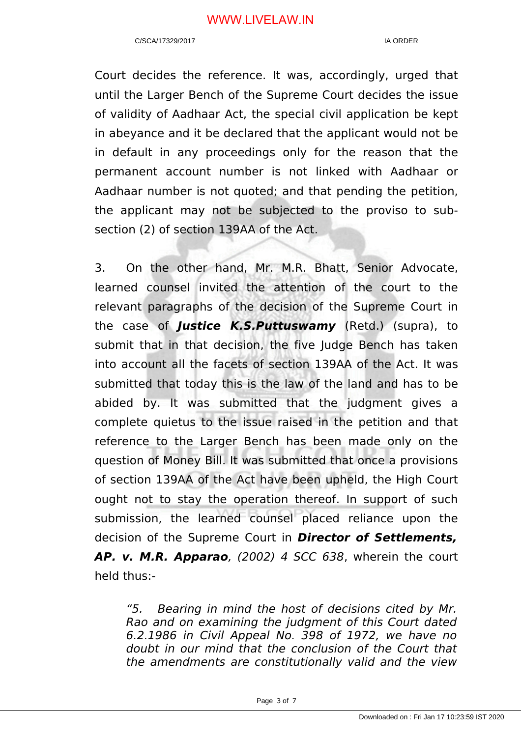Court decides the reference. It was, accordingly, urged that until the Larger Bench of the Supreme Court decides the issue of validity of Aadhaar Act, the special civil application be kept in abeyance and it be declared that the applicant would not be in default in any proceedings only for the reason that the permanent account number is not linked with Aadhaar or Aadhaar number is not quoted; and that pending the petition, the applicant may not be subjected to the proviso to subsection (2) of section 139AA of the Act.

3. On the other hand, Mr. M.R. Bhatt, Senior Advocate, learned counsel invited the attention of the court to the relevant paragraphs of the decision of the Supreme Court in the case of **Justice K.S.Puttuswamy** (Retd.) (supra), to submit that in that decision, the five Judge Bench has taken into account all the facets of section 139AA of the Act. It was submitted that today this is the law of the land and has to be abided by. It was submitted that the judgment gives a complete quietus to the issue raised in the petition and that reference to the Larger Bench has been made only on the question of Money Bill. It was submitted that once a provisions of section 139AA of the Act have been upheld, the High Court ought not to stay the operation thereof. In support of such submission, the learned counsel placed reliance upon the decision of the Supreme Court in **Director of Settlements, AP. v. M.R. Apparao**, (2002) 4 SCC 638, wherein the court held thus:-

"5. Bearing in mind the host of decisions cited by Mr. Rao and on examining the judgment of this Court dated 6.2.1986 in Civil Appeal No. 398 of 1972, we have no doubt in our mind that the conclusion of the Court that the amendments are constitutionally valid and the view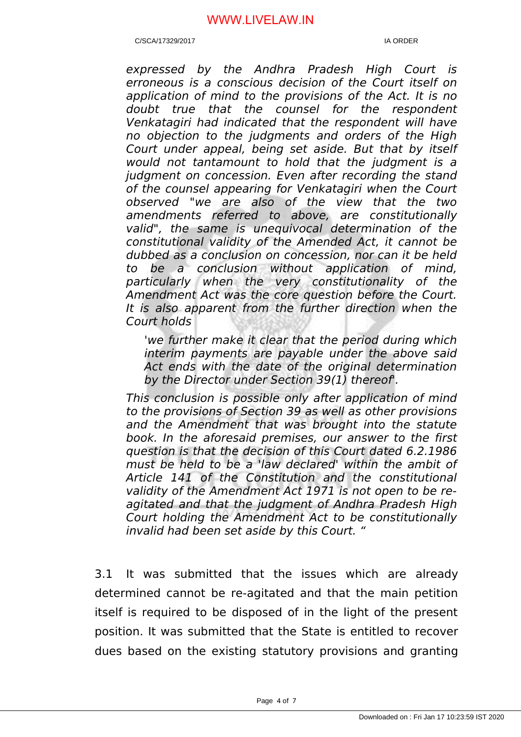C/SCA/17329/2017 IA ORDER

expressed by the Andhra Pradesh High Court is erroneous is a conscious decision of the Court itself on application of mind to the provisions of the Act. It is no doubt true that the counsel for the respondent Venkatagiri had indicated that the respondent will have no objection to the judgments and orders of the High Court under appeal, being set aside. But that by itself would not tantamount to hold that the judgment is a judgment on concession. Even after recording the stand of the counsel appearing for Venkatagiri when the Court observed "we are also of the view that the two amendments referred to above, are constitutionally valid", the same is unequivocal determination of the constitutional validity of the Amended Act, it cannot be dubbed as a conclusion on concession, nor can it be held to be a conclusion without application of mind, particularly when the very constitutionality of the Amendment Act was the core question before the Court. It is also apparent from the further direction when the Court holds

'we further make it clear that the period during which interim payments are payable under the above said Act ends with the date of the original determination by the Director under Section 39(1) thereof'.

This conclusion is possible only after application of mind to the provisions of Section 39 as well as other provisions and the Amendment that was brought into the statute book. In the aforesaid premises, our answer to the first question is that the decision of this Court dated 6.2.1986 must be held to be a 'law declared' within the ambit of Article 141 of the Constitution and the constitutional validity of the Amendment Act 1971 is not open to be reagitated and that the judgment of Andhra Pradesh High Court holding the Amendment Act to be constitutionally invalid had been set aside by this Court. "

3.1 It was submitted that the issues which are already determined cannot be re-agitated and that the main petition itself is required to be disposed of in the light of the present position. It was submitted that the State is entitled to recover dues based on the existing statutory provisions and granting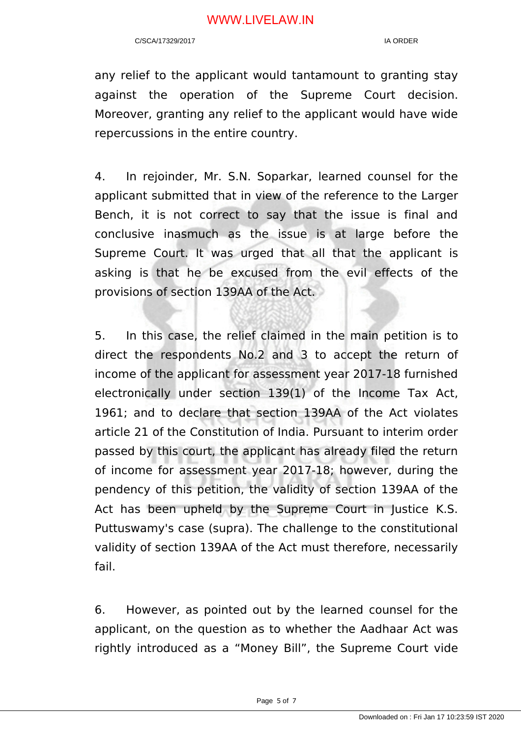any relief to the applicant would tantamount to granting stay against the operation of the Supreme Court decision. Moreover, granting any relief to the applicant would have wide repercussions in the entire country.

4. In rejoinder, Mr. S.N. Soparkar, learned counsel for the applicant submitted that in view of the reference to the Larger Bench, it is not correct to say that the issue is final and conclusive inasmuch as the issue is at large before the Supreme Court. It was urged that all that the applicant is asking is that he be excused from the evil effects of the provisions of section 139AA of the Act.

5. In this case, the relief claimed in the main petition is to direct the respondents No.2 and 3 to accept the return of income of the applicant for assessment year 2017-18 furnished electronically under section 139(1) of the Income Tax Act, 1961; and to declare that section 139AA of the Act violates article 21 of the Constitution of India. Pursuant to interim order passed by this court, the applicant has already filed the return of income for assessment year 2017-18; however, during the pendency of this petition, the validity of section 139AA of the Act has been upheld by the Supreme Court in Justice K.S. Puttuswamy's case (supra). The challenge to the constitutional validity of section 139AA of the Act must therefore, necessarily fail.

6. However, as pointed out by the learned counsel for the applicant, on the question as to whether the Aadhaar Act was rightly introduced as a "Money Bill", the Supreme Court vide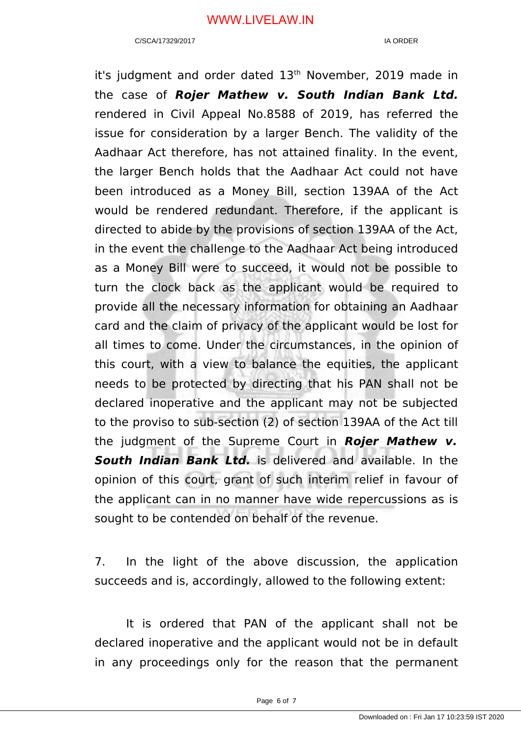it's judgment and order dated 13<sup>th</sup> November, 2019 made in the case of **Rojer Mathew v. South Indian Bank Ltd.** rendered in Civil Appeal No.8588 of 2019, has referred the issue for consideration by a larger Bench. The validity of the Aadhaar Act therefore, has not attained finality. In the event, the larger Bench holds that the Aadhaar Act could not have been introduced as a Money Bill, section 139AA of the Act would be rendered redundant. Therefore, if the applicant is directed to abide by the provisions of section 139AA of the Act, in the event the challenge to the Aadhaar Act being introduced as a Money Bill were to succeed, it would not be possible to turn the clock back as the applicant would be required to provide all the necessary information for obtaining an Aadhaar card and the claim of privacy of the applicant would be lost for all times to come. Under the circumstances, in the opinion of this court, with a view to balance the equities, the applicant needs to be protected by directing that his PAN shall not be declared inoperative and the applicant may not be subjected to the proviso to sub-section (2) of section 139AA of the Act till the judgment of the Supreme Court in **Rojer Mathew v. South Indian Bank Ltd.** is delivered and available. In the opinion of this court, grant of such interim relief in favour of the applicant can in no manner have wide repercussions as is sought to be contended on behalf of the revenue.

7. In the light of the above discussion, the application succeeds and is, accordingly, allowed to the following extent:

It is ordered that PAN of the applicant shall not be declared inoperative and the applicant would not be in default in any proceedings only for the reason that the permanent